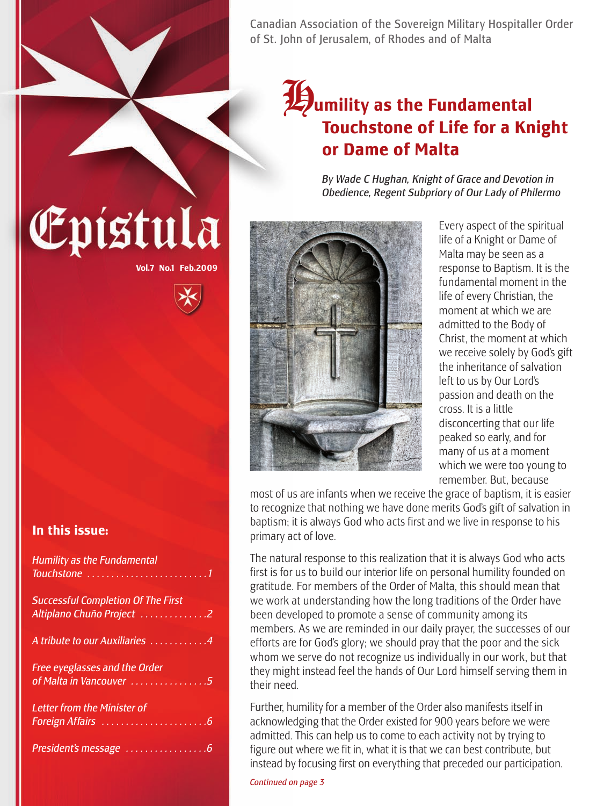Canadian Association of the Sovereign Military Hospitaller Order of St. John of Jerusalem, of Rhodes and of Malta

### **19** *U as the Fundamental* **Touchstone of Life for a Knight or Dame of Malta**

*By Wade C Hughan, Knight of Grace and Devotion in Obedience, Regent Subpriory of Our Lady of Philermo*



Every aspect of the spiritual life of a Knight or Dame of Malta may be seen as a response to Baptism. It is the fundamental moment in the life of every Christian, the moment at which we are admitted to the Body of Christ, the moment at which we receive solely by God's gift the inheritance of salvation left to us by Our Lord's passion and death on the cross. It is a little disconcerting that our life peaked so early, and for many of us at a moment which we were too young to remember. But, because

most of us are infants when we receive the grace of baptism, it is easier to recognize that nothing we have done merits God's gift of salvation in baptism; it is always God who acts first and we live in response to his primary act of love.

The natural response to this realization that it is always God who acts first is for us to build our interior life on personal humility founded on gratitude. For members of the Order of Malta, this should mean that we work at understanding how the long traditions of the Order have been developed to promote a sense of community among its members. As we are reminded in our daily prayer, the successes of our efforts are for God's glory; we should pray that the poor and the sick whom we serve do not recognize us individually in our work, but that they might instead feel the hands of Our Lord himself serving them in their need.

Further, humility for a member of the Order also manifests itself in acknowledging that the Order existed for 900 years before we were admitted. This can help us to come to each activity not by trying to figure out where we fit in, what it is that we can best contribute, but instead by focusing first on everything that preceded our participation.

#### *Continued on page 3*

### **In this issue:**

| <b>Humility as the Fundamental</b>                                                         |  |
|--------------------------------------------------------------------------------------------|--|
| <b>Successful Completion Of The First</b><br>Altiplano Chuño Project 2                     |  |
| A tribute to our Auxiliaries 4<br>Free eyeglasses and the Order<br>of Malta in Vancouver 5 |  |
|                                                                                            |  |
|                                                                                            |  |

**Vol.7 No.1 Feb.2009**

Epistula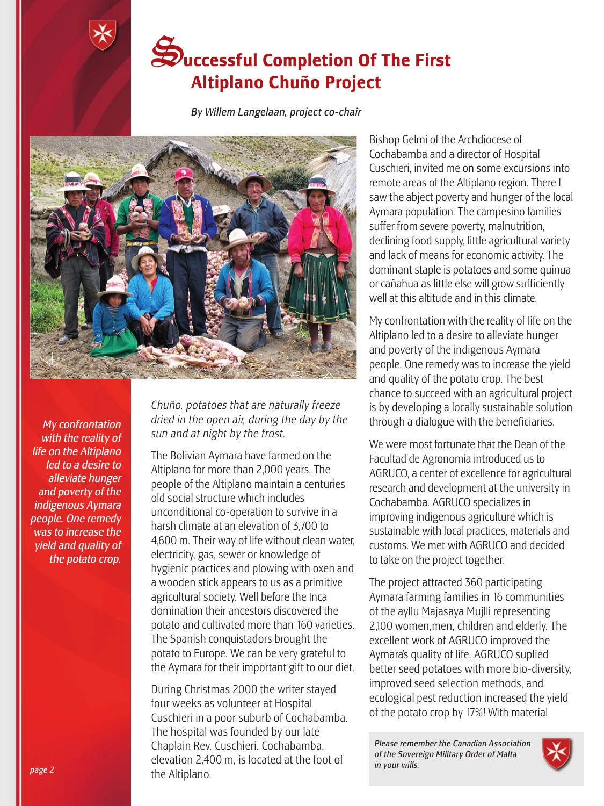## S**uccessful Completion Of The First Altiplano Chuño Project**

*By Willem Langelaan, project co-chair*



*My confrontation with the reality of life on the Altiplano led to a desire to alleviate hunger and poverty of the indigenous Aymara people. One remedy was to increase the yield and quality of the potato crop.*

*Chuño, potatoes that are naturally freeze dried in the open air, during the day by the sun and at night by the frost.*

The Bolivian Aymara have farmed on the Altiplano for more than 2,000 years. The people of the Altiplano maintain a centuries old social structure which includes unconditional co-operation to survive in a harsh climate at an elevation of 3,700 to 4,600 m. Their way of life without clean water, electricity, gas, sewer or knowledge of hygienic practices and plowing with oxen and a wooden stick appears to us as a primitive agricultural society. Well before the Inca domination their ancestors discovered the potato and cultivated more than 160 varieties. The Spanish conquistadors brought the potato to Europe. We can be very grateful to the Aymara for their important gift to our diet.

During Christmas 2000 the writer stayed four weeks as volunteer at Hospital Cuschieri in a poor suburb of Cochabamba. The hospital was founded by our late Chaplain Rev. Cuschieri. Cochabamba, elevation 2,400 m, is located at the foot of the Altiplano.

Bishop Gelmi of the Archdiocese of Cochabamba and a director of Hospital Cuschieri, invited me on some excursions into remote areas of the Altiplano region. There I saw the abject poverty and hunger of the local Aymara population. The campesino families suffer from severe poverty, malnutrition, declining food supply, little agricultural variety and lack of means for economic activity. The dominant staple is potatoes and some quinua or cañahua as little else will grow sufficiently well at this altitude and in this climate.

My confrontation with the reality of life on the Altiplano led to a desire to alleviate hunger and poverty of the indigenous Aymara people. One remedy was to increase the yield and quality of the potato crop. The best chance to succeed with an agricultural project is by developing a locally sustainable solution through a dialogue with the beneficiaries.

We were most fortunate that the Dean of the Facultad de Agronomía introduced us to AGRUCO, a center of excellence for agricultural research and development at the university in Cochabamba. AGRUCO specializes in improving indigenous agriculture which is sustainable with local practices, materials and customs. We met with AGRUCO and decided to take on the project together.

The project attracted 360 participating Aymara farming families in 16 communities of the ayllu Majasaya Mujlli representing 2,100 women,men, children and elderly. The excellent work of AGRUCO improved the Aymara's quality of life. AGRUCO suplied better seed potatoes with more bio-diversity, improved seed selection methods, and ecological pest reduction increased the yield of the potato crop by 17%! With material

*Please remember the Canadian Association of the Sovereign Military Order of Malta in your wills.*

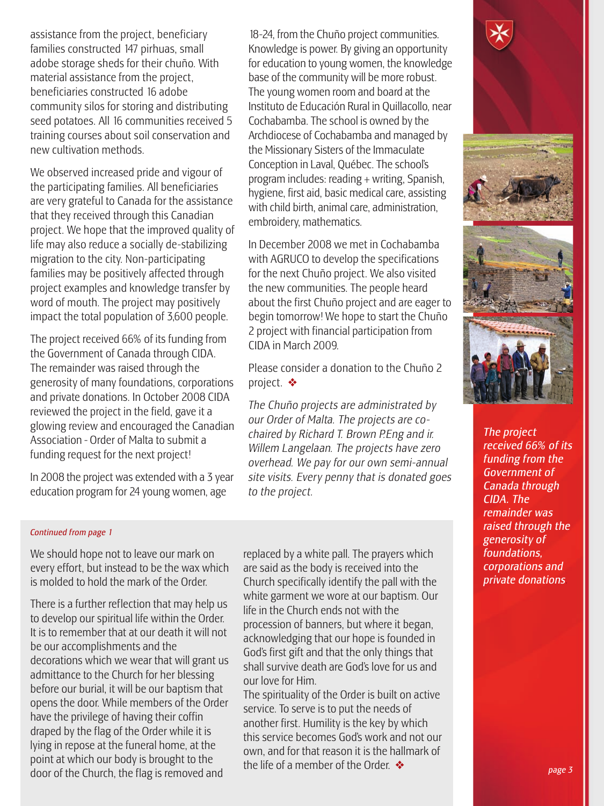assistance from the project, beneficiary families constructed 147 pirhuas, small adobe storage sheds for their chuño. With material assistance from the project, beneficiaries constructed 16 adobe community silos for storing and distributing seed potatoes. All 16 communities received 5 training courses about soil conservation and new cultivation methods.

We observed increased pride and vigour of the participating families. All beneficiaries are very grateful to Canada for the assistance that they received through this Canadian project. We hope that the improved quality of life may also reduce a socially de-stabilizing migration to the city. Non-participating families may be positively affected through project examples and knowledge transfer by word of mouth. The project may positively impact the total population of 3,600 people.

The project received 66% of its funding from the Government of Canada through CIDA. The remainder was raised through the generosity of many foundations, corporations and private donations. In October 2008 CIDA reviewed the project in the field, gave it a glowing review and encouraged the Canadian Association - Order of Malta to submit a funding request for the next project!

In 2008 the project was extended with a 3 year education program for 24 young women, age

18-24, from the Chuño project communities. Knowledge is power. By giving an opportunity for education to young women, the knowledge base of the community will be more robust. The young women room and board at the Instituto de Educación Rural in Quillacollo, near Cochabamba. The school is owned by the Archdiocese of Cochabamba and managed by the Missionary Sisters of the Immaculate Conception in Laval, Québec. The school's program includes: reading + writing, Spanish, hygiene, first aid, basic medical care, assisting with child birth, animal care, administration, embroidery, mathematics.

In December 2008 we met in Cochabamba with AGRUCO to develop the specifications for the next Chuño project. We also visited the new communities. The people heard about the first Chuño project and are eager to begin tomorrow! We hope to start the Chuño 2 project with financial participation from CIDA in March 2009.

Please consider a donation to the Chuño 2 project. ❖

*The Chuño projects are administrated by our Order of Malta. The projects are cochaired by Richard T. Brown P.Eng and ir. Willem Langelaan. The projects have zero overhead. We pay for our own semi-annual site visits. Every penny that is donated goes to the project.* 

#### *Continued from page 1*

We should hope not to leave our mark on every effort, but instead to be the wax which is molded to hold the mark of the Order.

There is a further reflection that may help us to develop our spiritual life within the Order. It is to remember that at our death it will not be our accomplishments and the decorations which we wear that will grant us admittance to the Church for her blessing before our burial, it will be our baptism that opens the door. While members of the Order have the privilege of having their coffin draped by the flag of the Order while it is lying in repose at the funeral home, at the point at which our body is brought to the door of the Church, the flag is removed and

replaced by a white pall. The prayers which are said as the body is received into the Church specifically identify the pall with the white garment we wore at our baptism. Our life in the Church ends not with the procession of banners, but where it began, acknowledging that our hope is founded in God's first gift and that the only things that shall survive death are God's love for us and our love for Him.

The spirituality of the Order is built on active service. To serve is to put the needs of another first. Humility is the key by which this service becomes God's work and not our own, and for that reason it is the hallmark of the life of a member of the Order.  $\clubsuit$ 



*The project received 66% of its funding from the Government of Canada through CIDA. The remainder was raised through the generosity of foundations, corporations and private donations.*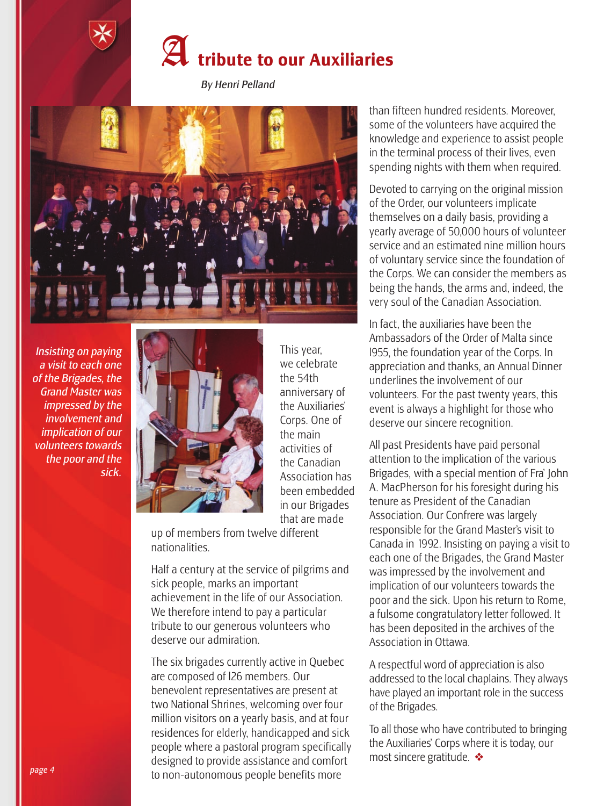

*By Henri Pelland*



*Insisting on paying a visit to each one of the Brigades, the Grand Master was impressed by the involvement and implication of our volunteers towards the poor and the sick.* 



This year, we celebrate the 54th anniversary of the Auxiliaries' Corps. One of the main activities of the Canadian Association has been embedded in our Brigades that are made

up of members from twelve different nationalities.

Half a century at the service of pilgrims and sick people, marks an important achievement in the life of our Association. We therefore intend to pay a particular tribute to our generous volunteers who deserve our admiration.

The six brigades currently active in Quebec are composed of l26 members. Our benevolent representatives are present at two National Shrines, welcoming over four million visitors on a yearly basis, and at four residences for elderly, handicapped and sick people where a pastoral program specifically designed to provide assistance and comfort to non-autonomous people benefits more

than fifteen hundred residents. Moreover, some of the volunteers have acquired the knowledge and experience to assist people in the terminal process of their lives, even spending nights with them when required.

Devoted to carrying on the original mission of the Order, our volunteers implicate themselves on a daily basis, providing a yearly average of 50,000 hours of volunteer service and an estimated nine million hours of voluntary service since the foundation of the Corps. We can consider the members as being the hands, the arms and, indeed, the very soul of the Canadian Association.

In fact, the auxiliaries have been the Ambassadors of the Order of Malta since l955, the foundation year of the Corps. In appreciation and thanks, an Annual Dinner underlines the involvement of our volunteers. For the past twenty years, this event is always a highlight for those who deserve our sincere recognition.

All past Presidents have paid personal attention to the implication of the various Brigades, with a special mention of Fra' John A. MacPherson for his foresight during his tenure as President of the Canadian Association. Our Confrere was largely responsible for the Grand Master's visit to Canada in 1992. Insisting on paying a visit to each one of the Brigades, the Grand Master was impressed by the involvement and implication of our volunteers towards the poor and the sick. Upon his return to Rome, a fulsome congratulatory letter followed. It has been deposited in the archives of the Association in Ottawa.

A respectful word of appreciation is also addressed to the local chaplains. They always have played an important role in the success of the Brigades.

To all those who have contributed to bringing the Auxiliaries' Corps where it is today, our most sincere gratitude. ❖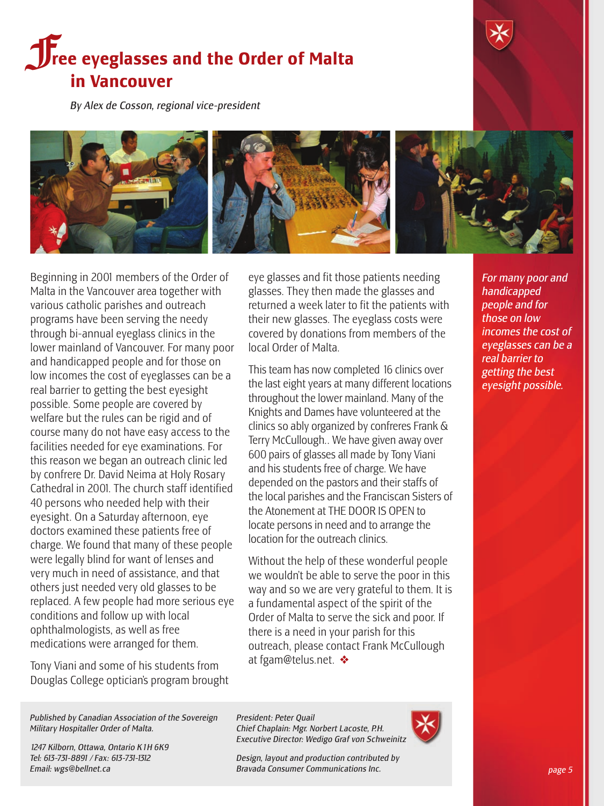## **force Exercises 3 and the Order of Malta in Vancouver**

*By Alex de Cosson, regional vice-president*



Beginning in 2001 members of the Order of Malta in the Vancouver area together with various catholic parishes and outreach programs have been serving the needy through bi-annual eyeglass clinics in the lower mainland of Vancouver. For many poor and handicapped people and for those on low incomes the cost of eyeglasses can be a real barrier to getting the best eyesight possible. Some people are covered by welfare but the rules can be rigid and of course many do not have easy access to the facilities needed for eye examinations. For this reason we began an outreach clinic led by confrere Dr. David Neima at Holy Rosary Cathedral in 2001. The church staff identified 40 persons who needed help with their eyesight. On a Saturday afternoon, eye doctors examined these patients free of charge. We found that many of these people were legally blind for want of lenses and very much in need of assistance, and that others just needed very old glasses to be replaced. A few people had more serious eye conditions and follow up with local ophthalmologists, as well as free medications were arranged for them.

Tony Viani and some of his students from Douglas College optician's program brought eye glasses and fit those patients needing glasses. They then made the glasses and returned a week later to fit the patients with their new glasses. The eyeglass costs were covered by donations from members of the local Order of Malta.

This team has now completed 16 clinics over the last eight years at many different locations throughout the lower mainland. Many of the Knights and Dames have volunteered at the clinics so ably organized by confreres Frank & Terry McCullough.. We have given away over 600 pairs of glasses all made by Tony Viani and his students free of charge. We have depended on the pastors and their staffs of the local parishes and the Franciscan Sisters of the Atonement at THE DOOR IS OPEN to locate persons in need and to arrange the location for the outreach clinics.

Without the help of these wonderful people we wouldn't be able to serve the poor in this way and so we are very grateful to them. It is a fundamental aspect of the spirit of the Order of Malta to serve the sick and poor. If there is a need in your parish for this outreach, please contact Frank McCullough at fgam@telus.net. ❖

*For many poor and handicapped people and for those on low incomes the cost of eyeglasses can be a real barrier to getting the best eyesight possible.*

*Published by Canadian Association of the Sovereign Military Hospitaller Order of Malta.*

*1247 Kilborn, Ottawa, Ontario K1H 6K9 Tel: 613-731-8891 / Fax: 613-731-1312 Email: wgs@bellnet.ca*

*President: Peter Quail Chief Chaplain: Mgr. Norbert Lacoste, P.H. Executive Director: Wedigo Graf von Schweinitz*

*Design, layout and production contributed by Bravada Consumer Communications Inc.*